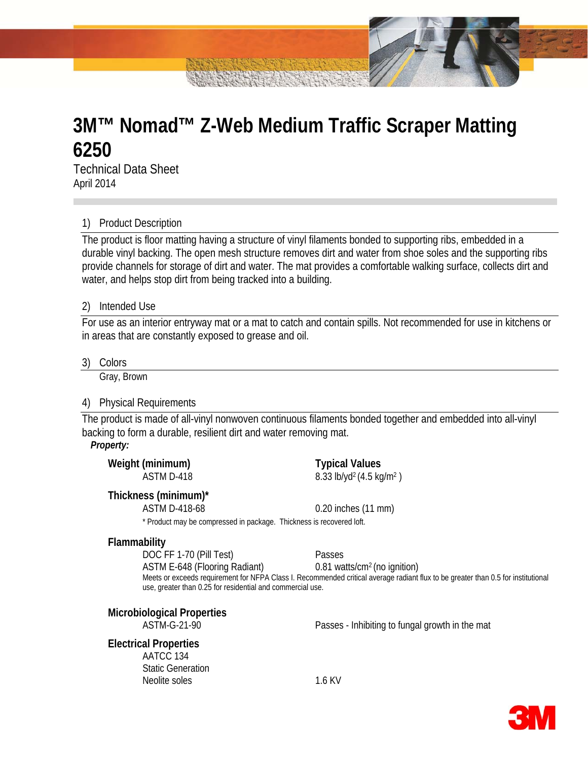# **3M™ Nomad™ Z-Web Medium Traffic Scraper Matting 6250**

Technical Data Sheet April 2014

# 1) Product Description

The product is floor matting having a structure of vinyl filaments bonded to supporting ribs, embedded in a durable vinyl backing. The open mesh structure removes dirt and water from shoe soles and the supporting ribs provide channels for storage of dirt and water. The mat provides a comfortable walking surface, collects dirt and water, and helps stop dirt from being tracked into a building.

## 2) Intended Use

For use as an interior entryway mat or a mat to catch and contain spills. Not recommended for use in kitchens or in areas that are constantly exposed to grease and oil.

3) Colors

Gray, Brown

# 4) Physical Requirements

The product is made of all-vinyl nonwoven continuous filaments bonded together and embedded into all-vinyl backing to form a durable, resilient dirt and water removing mat.

## *Property:*

| Weight (minimum)<br>ASTM D-418                                                                                                                                                                                                | <b>Typical Values</b><br>8.33 lb/yd <sup>2</sup> (4.5 kg/m <sup>2</sup> ) |
|-------------------------------------------------------------------------------------------------------------------------------------------------------------------------------------------------------------------------------|---------------------------------------------------------------------------|
| Thickness (minimum)*                                                                                                                                                                                                          |                                                                           |
| ASTM D-418-68                                                                                                                                                                                                                 | $0.20$ inches $(11$ mm)                                                   |
| * David and an exploration of the second the second of the second of the second second that the second second second second second second second second second second second second second second second second second second |                                                                           |

Product may be compressed in package. Thickness is recovered loft.

# **Flammability**

DOC FF 1-70 (Pill Test) Passes

ASTM E-648 (Flooring Radiant) 0.81 watts/cm2 (no ignition)

Meets or exceeds requirement for NFPA Class I. Recommended critical average radiant flux to be greater than 0.5 for institutional use, greater than 0.25 for residential and commercial use.

# **Microbiological Properties**

ASTM-G-21-90 Passes - Inhibiting to fungal growth in the mat

## **Electrical Properties**

AATCC 134 Static Generation Neolite soles 1.6 KV

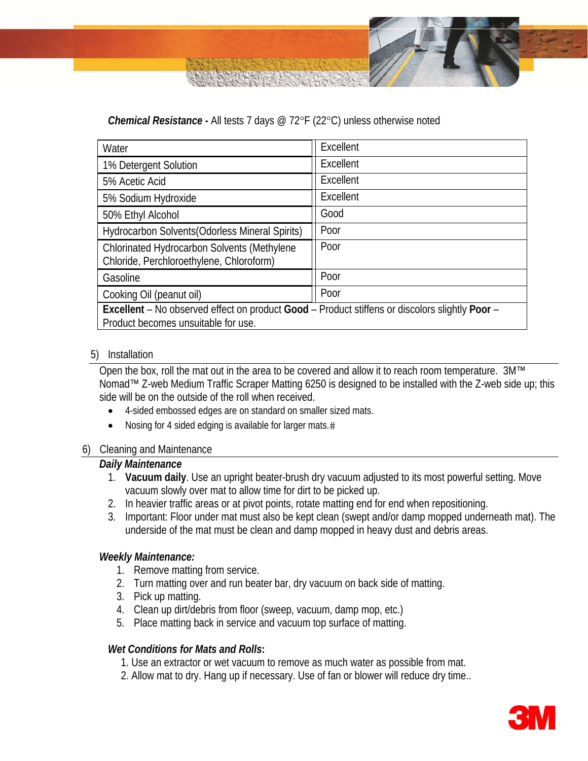# *Chemical Resistance -* All tests 7 days @ 72°F (22°C) unless otherwise noted

| Water                                                                                                                                 | Excellent |
|---------------------------------------------------------------------------------------------------------------------------------------|-----------|
| 1% Detergent Solution                                                                                                                 | Excellent |
| 5% Acetic Acid                                                                                                                        | Excellent |
| 5% Sodium Hydroxide                                                                                                                   | Excellent |
| 50% Ethyl Alcohol                                                                                                                     | Good      |
| Hydrocarbon Solvents (Odorless Mineral Spirits)                                                                                       | Poor      |
| Chlorinated Hydrocarbon Solvents (Methylene<br>Chloride, Perchloroethylene, Chloroform)                                               | Poor      |
| Gasoline                                                                                                                              | Poor      |
| Cooking Oil (peanut oil)                                                                                                              | Poor      |
| Excellent – No observed effect on product Good – Product stiffens or discolors slightly Poor –<br>Product becomes unsuitable for use. |           |

# 5) Installation

Open the box, roll the mat out in the area to be covered and allow it to reach room temperature. 3M™ Nomad™ Z-web Medium Traffic Scraper Matting 6250 is designed to be installed with the Z-web side up; this side will be on the outside of the roll when received.

- 4-sided embossed edges are on standard on smaller sized mats.
- Nosing for 4 sided edging is available for larger mats.#

# 6) Cleaning and Maintenance

# *Daily Maintenance*

- 1. **Vacuum daily**. Use an upright beater-brush dry vacuum adjusted to its most powerful setting. Move vacuum slowly over mat to allow time for dirt to be picked up.
- 2. In heavier traffic areas or at pivot points, rotate matting end for end when repositioning.
- 3. Important: Floor under mat must also be kept clean (swept and/or damp mopped underneath mat). The underside of the mat must be clean and damp mopped in heavy dust and debris areas.

# *Weekly Maintenance:*

- 1. Remove matting from service.
- 2. Turn matting over and run beater bar, dry vacuum on back side of matting.
- 3. Pick up matting.
- 4. Clean up dirt/debris from floor (sweep, vacuum, damp mop, etc.)
- 5. Place matting back in service and vacuum top surface of matting.

# *Wet Conditions for Mats and Rolls***:**

- 1. Use an extractor or wet vacuum to remove as much water as possible from mat.
- 2. Allow mat to dry. Hang up if necessary. Use of fan or blower will reduce dry time..